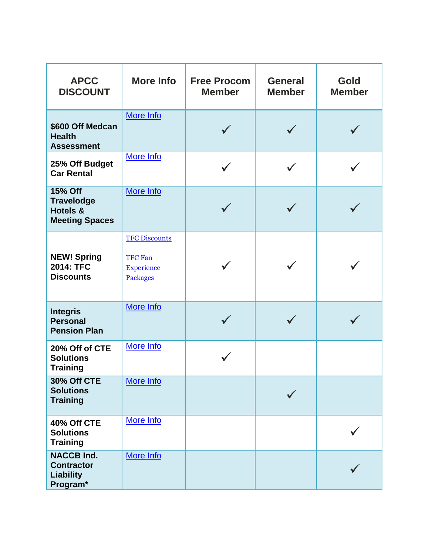| <b>APCC</b><br><b>DISCOUNT</b>                                                      | <b>More Info</b>                                                        | <b>Free Procom</b><br><b>Member</b> | <b>General</b><br><b>Member</b> | <b>Gold</b><br><b>Member</b> |
|-------------------------------------------------------------------------------------|-------------------------------------------------------------------------|-------------------------------------|---------------------------------|------------------------------|
| \$600 Off Medcan<br><b>Health</b><br><b>Assessment</b>                              | More Info                                                               |                                     |                                 |                              |
| 25% Off Budget<br><b>Car Rental</b>                                                 | More Info                                                               |                                     |                                 |                              |
| <b>15% Off</b><br><b>Travelodge</b><br><b>Hotels &amp;</b><br><b>Meeting Spaces</b> | More Info                                                               |                                     |                                 |                              |
| <b>NEW! Spring</b><br>2014: TFC<br><b>Discounts</b>                                 | <b>TFC Discounts</b><br><b>TFC Fan</b><br><b>Experience</b><br>Packages |                                     |                                 |                              |
| <b>Integris</b><br><b>Personal</b><br><b>Pension Plan</b>                           | More Info                                                               |                                     |                                 |                              |
| 20% Off of CTE<br><b>Solutions</b><br><b>Training</b>                               | More Info                                                               |                                     |                                 |                              |
| 30% Off CTE<br><b>Solutions</b><br><b>Training</b>                                  | More Info                                                               |                                     |                                 |                              |
| 40% Off CTE<br><b>Solutions</b><br><b>Training</b>                                  | More Info                                                               |                                     |                                 |                              |
| <b>NACCB Ind.</b><br><b>Contractor</b><br><b>Liability</b><br>Program*              | More Info                                                               |                                     |                                 |                              |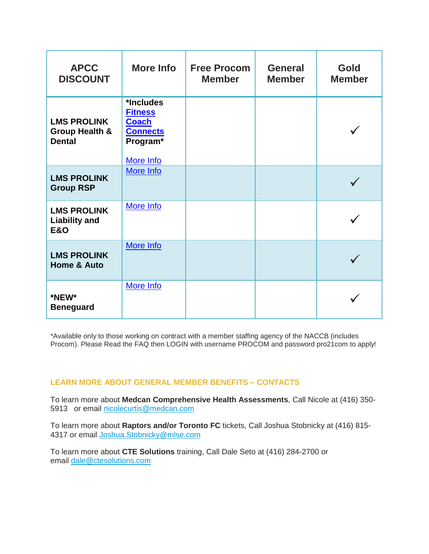| <b>APCC</b><br><b>DISCOUNT</b>                                   | <b>More Info</b>                                                                        | <b>Free Procom</b><br><b>Member</b> | <b>General</b><br><b>Member</b> | <b>Gold</b><br><b>Member</b> |
|------------------------------------------------------------------|-----------------------------------------------------------------------------------------|-------------------------------------|---------------------------------|------------------------------|
| <b>LMS PROLINK</b><br><b>Group Health &amp;</b><br><b>Dental</b> | *Includes<br><b>Fitness</b><br><b>Coach</b><br><b>Connects</b><br>Program*<br>More Info |                                     |                                 |                              |
| <b>LMS PROLINK</b><br><b>Group RSP</b>                           | More Info                                                                               |                                     |                                 |                              |
| <b>LMS PROLINK</b><br><b>Liability and</b><br><b>E&amp;O</b>     | More Info                                                                               |                                     |                                 |                              |
| <b>LMS PROLINK</b><br><b>Home &amp; Auto</b>                     | More Info                                                                               |                                     |                                 |                              |
| *NEW*<br><b>Beneguard</b>                                        | More Info                                                                               |                                     |                                 |                              |

\*Available only to those working on contract with a member staffing agency of the NACCB (includes Procom). Please Read the FAQ then LOGIN with username PROCOM and password pro21com to apply!

## **LEARN MORE ABOUT GENERAL MEMBER BENEFITS – CONTACTS**

To learn more about **Medcan Comprehensive Health Assessments**, Call Nicole at (416) 350- 5913 or email [nicolecurtis@medcan.com](mailto:nicolecurtis@medcan.com)

To learn more about **Raptors and/or Toronto FC** tickets, Call Joshua Stobnicky at (416) 815- 4317 or email [Joshua.Stobnicky@mlse.com](mailto:JOSHUA.STOBNICKY@MLSE.COM)

To learn more about **CTE Solutions** training, Call Dale Seto at (416) 284-2700 or email [dale@ctesolutions.com](mailto:dale@ctesolutions.com)